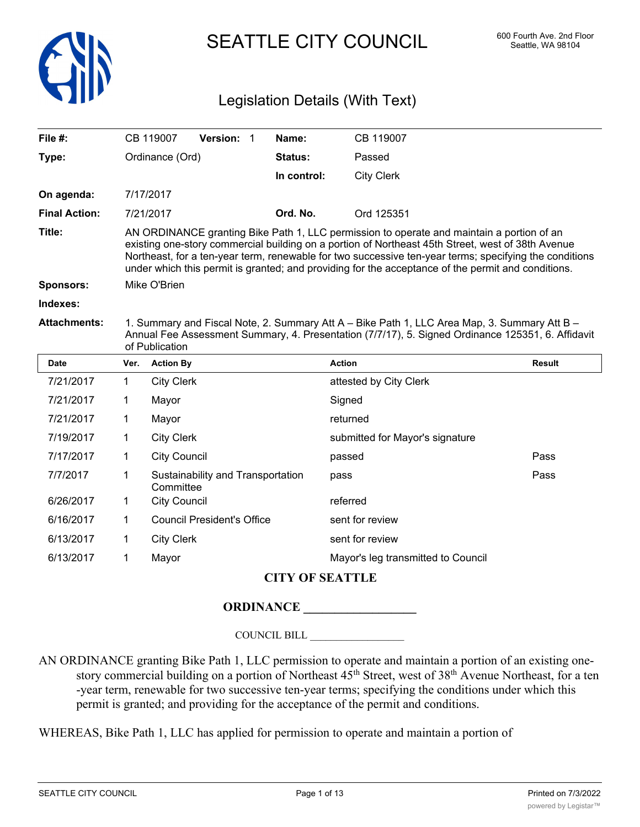

# SEATTLE CITY COUNCIL 600 Fourth Ave. 2nd Floor

# Legislation Details (With Text)

| File $#$ :           |                                                                                                                                                                                                                                                                                                                                                                                                                | CB 119007                                            | Version: 1      |  | Name:          | CB 119007              |               |  |  |
|----------------------|----------------------------------------------------------------------------------------------------------------------------------------------------------------------------------------------------------------------------------------------------------------------------------------------------------------------------------------------------------------------------------------------------------------|------------------------------------------------------|-----------------|--|----------------|------------------------|---------------|--|--|
| Type:                | Ordinance (Ord)                                                                                                                                                                                                                                                                                                                                                                                                |                                                      |                 |  | <b>Status:</b> | Passed                 |               |  |  |
|                      |                                                                                                                                                                                                                                                                                                                                                                                                                |                                                      |                 |  | In control:    | <b>City Clerk</b>      |               |  |  |
| On agenda:           |                                                                                                                                                                                                                                                                                                                                                                                                                | 7/17/2017                                            |                 |  |                |                        |               |  |  |
| <b>Final Action:</b> | 7/21/2017                                                                                                                                                                                                                                                                                                                                                                                                      |                                                      |                 |  | Ord. No.       | Ord 125351             |               |  |  |
| Title:               | AN ORDINANCE granting Bike Path 1, LLC permission to operate and maintain a portion of an<br>existing one-story commercial building on a portion of Northeast 45th Street, west of 38th Avenue<br>Northeast, for a ten-year term, renewable for two successive ten-year terms; specifying the conditions<br>under which this permit is granted; and providing for the acceptance of the permit and conditions. |                                                      |                 |  |                |                        |               |  |  |
| <b>Sponsors:</b>     | Mike O'Brien                                                                                                                                                                                                                                                                                                                                                                                                   |                                                      |                 |  |                |                        |               |  |  |
| Indexes:             |                                                                                                                                                                                                                                                                                                                                                                                                                |                                                      |                 |  |                |                        |               |  |  |
| <b>Attachments:</b>  | 1. Summary and Fiscal Note, 2. Summary Att A – Bike Path 1, LLC Area Map, 3. Summary Att B –<br>Annual Fee Assessment Summary, 4. Presentation (7/7/17), 5. Signed Ordinance 125351, 6. Affidavit<br>of Publication                                                                                                                                                                                            |                                                      |                 |  |                |                        |               |  |  |
| <b>Date</b>          | Ver.                                                                                                                                                                                                                                                                                                                                                                                                           | <b>Action By</b>                                     |                 |  |                | <b>Action</b>          | <b>Result</b> |  |  |
| 7/21/2017            | 1                                                                                                                                                                                                                                                                                                                                                                                                              | <b>City Clerk</b>                                    |                 |  |                | attested by City Clerk |               |  |  |
| 7/21/2017            | 1                                                                                                                                                                                                                                                                                                                                                                                                              | Mayor                                                |                 |  |                | Signed                 |               |  |  |
| 7/21/2017            | 1                                                                                                                                                                                                                                                                                                                                                                                                              | Mayor                                                |                 |  | returned       |                        |               |  |  |
| 7/19/2017            | 1                                                                                                                                                                                                                                                                                                                                                                                                              | <b>City Clerk</b><br>submitted for Mayor's signature |                 |  |                |                        |               |  |  |
| 7/17/2017            | 1                                                                                                                                                                                                                                                                                                                                                                                                              | <b>City Council</b>                                  |                 |  | passed         | Pass                   |               |  |  |
| 7/7/2017             | 1                                                                                                                                                                                                                                                                                                                                                                                                              | Sustainability and Transportation<br>Committee       |                 |  | pass           | Pass                   |               |  |  |
| 6/26/2017            | 1                                                                                                                                                                                                                                                                                                                                                                                                              | <b>City Council</b>                                  |                 |  |                | referred               |               |  |  |
| 6/16/2017            | 1                                                                                                                                                                                                                                                                                                                                                                                                              | <b>Council President's Office</b>                    |                 |  |                | sent for review        |               |  |  |
| 6/13/2017            | 1                                                                                                                                                                                                                                                                                                                                                                                                              | <b>City Clerk</b>                                    | sent for review |  |                |                        |               |  |  |
| 6/13/2017            |                                                                                                                                                                                                                                                                                                                                                                                                                |                                                      |                 |  |                |                        |               |  |  |

# **CITY OF SEATTLE**

### **ORDINANCE \_\_\_\_\_\_\_\_\_\_\_\_\_\_\_\_\_\_**

COUNCIL BILL \_\_\_\_\_\_\_\_\_\_\_\_\_\_\_\_\_\_

AN ORDINANCE granting Bike Path 1, LLC permission to operate and maintain a portion of an existing onestory commercial building on a portion of Northeast  $45<sup>th</sup>$  Street, west of 38<sup>th</sup> Avenue Northeast, for a ten -year term, renewable for two successive ten-year terms; specifying the conditions under which this permit is granted; and providing for the acceptance of the permit and conditions.

WHEREAS, Bike Path 1, LLC has applied for permission to operate and maintain a portion of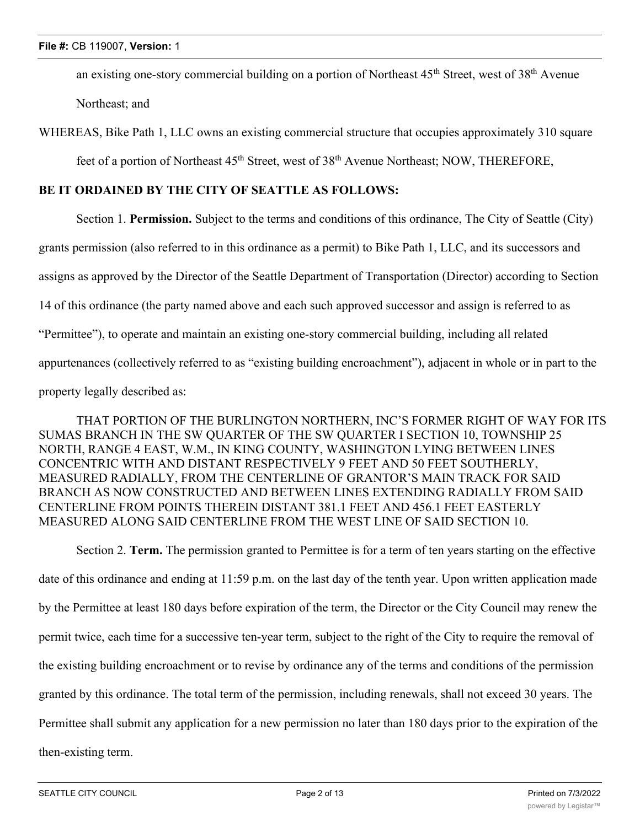an existing one-story commercial building on a portion of Northeast  $45<sup>th</sup>$  Street, west of  $38<sup>th</sup>$  Avenue Northeast; and

WHEREAS, Bike Path 1, LLC owns an existing commercial structure that occupies approximately 310 square

feet of a portion of Northeast 45<sup>th</sup> Street, west of 38<sup>th</sup> Avenue Northeast; NOW, THEREFORE,

## **BE IT ORDAINED BY THE CITY OF SEATTLE AS FOLLOWS:**

Section 1. **Permission.** Subject to the terms and conditions of this ordinance, The City of Seattle (City) grants permission (also referred to in this ordinance as a permit) to Bike Path 1, LLC, and its successors and assigns as approved by the Director of the Seattle Department of Transportation (Director) according to Section 14 of this ordinance (the party named above and each such approved successor and assign is referred to as "Permittee"), to operate and maintain an existing one-story commercial building, including all related appurtenances (collectively referred to as "existing building encroachment"), adjacent in whole or in part to the property legally described as:

THAT PORTION OF THE BURLINGTON NORTHERN, INC'S FORMER RIGHT OF WAY FOR ITS SUMAS BRANCH IN THE SW QUARTER OF THE SW QUARTER I SECTION 10, TOWNSHIP 25 NORTH, RANGE 4 EAST, W.M., IN KING COUNTY, WASHINGTON LYING BETWEEN LINES CONCENTRIC WITH AND DISTANT RESPECTIVELY 9 FEET AND 50 FEET SOUTHERLY, MEASURED RADIALLY, FROM THE CENTERLINE OF GRANTOR'S MAIN TRACK FOR SAID BRANCH AS NOW CONSTRUCTED AND BETWEEN LINES EXTENDING RADIALLY FROM SAID CENTERLINE FROM POINTS THEREIN DISTANT 381.1 FEET AND 456.1 FEET EASTERLY MEASURED ALONG SAID CENTERLINE FROM THE WEST LINE OF SAID SECTION 10.

Section 2. **Term.** The permission granted to Permittee is for a term of ten years starting on the effective date of this ordinance and ending at 11:59 p.m. on the last day of the tenth year. Upon written application made by the Permittee at least 180 days before expiration of the term, the Director or the City Council may renew the permit twice, each time for a successive ten-year term, subject to the right of the City to require the removal of the existing building encroachment or to revise by ordinance any of the terms and conditions of the permission granted by this ordinance. The total term of the permission, including renewals, shall not exceed 30 years. The Permittee shall submit any application for a new permission no later than 180 days prior to the expiration of the then-existing term.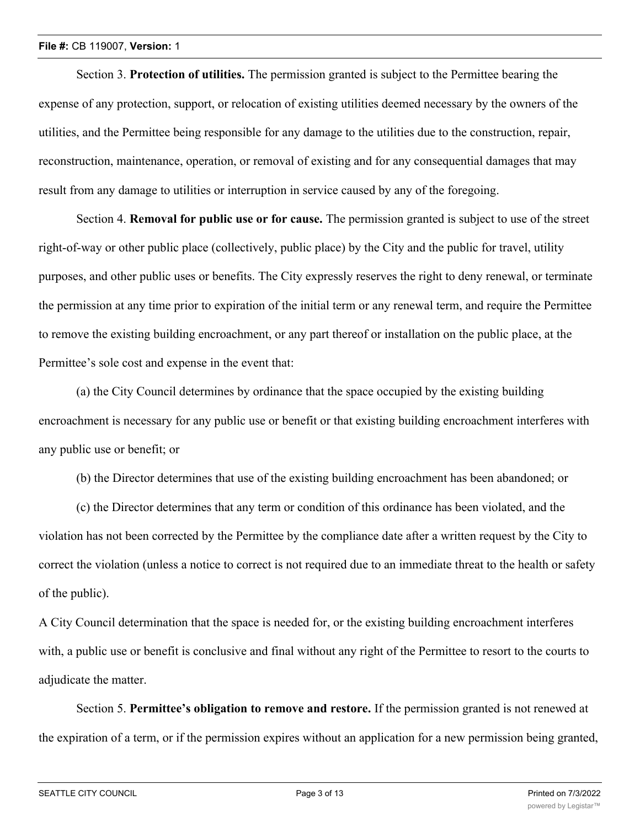Section 3. **Protection of utilities.** The permission granted is subject to the Permittee bearing the expense of any protection, support, or relocation of existing utilities deemed necessary by the owners of the utilities, and the Permittee being responsible for any damage to the utilities due to the construction, repair, reconstruction, maintenance, operation, or removal of existing and for any consequential damages that may result from any damage to utilities or interruption in service caused by any of the foregoing.

Section 4. **Removal for public use or for cause.** The permission granted is subject to use of the street right-of-way or other public place (collectively, public place) by the City and the public for travel, utility purposes, and other public uses or benefits. The City expressly reserves the right to deny renewal, or terminate the permission at any time prior to expiration of the initial term or any renewal term, and require the Permittee to remove the existing building encroachment, or any part thereof or installation on the public place, at the Permittee's sole cost and expense in the event that:

(a) the City Council determines by ordinance that the space occupied by the existing building encroachment is necessary for any public use or benefit or that existing building encroachment interferes with any public use or benefit; or

(b) the Director determines that use of the existing building encroachment has been abandoned; or

(c) the Director determines that any term or condition of this ordinance has been violated, and the violation has not been corrected by the Permittee by the compliance date after a written request by the City to correct the violation (unless a notice to correct is not required due to an immediate threat to the health or safety of the public).

A City Council determination that the space is needed for, or the existing building encroachment interferes with, a public use or benefit is conclusive and final without any right of the Permittee to resort to the courts to adjudicate the matter.

Section 5. **Permittee's obligation to remove and restore.** If the permission granted is not renewed at the expiration of a term, or if the permission expires without an application for a new permission being granted,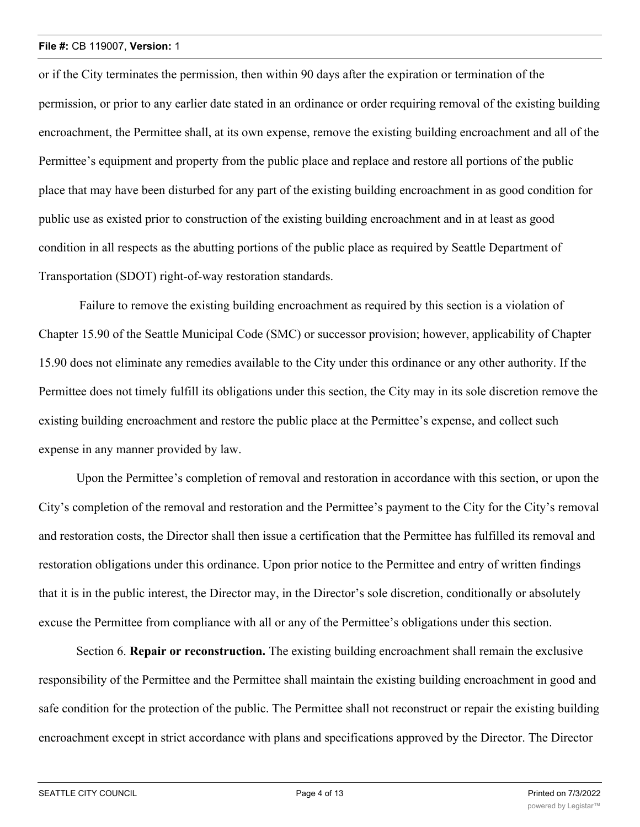or if the City terminates the permission, then within 90 days after the expiration or termination of the permission, or prior to any earlier date stated in an ordinance or order requiring removal of the existing building encroachment, the Permittee shall, at its own expense, remove the existing building encroachment and all of the Permittee's equipment and property from the public place and replace and restore all portions of the public place that may have been disturbed for any part of the existing building encroachment in as good condition for public use as existed prior to construction of the existing building encroachment and in at least as good condition in all respects as the abutting portions of the public place as required by Seattle Department of Transportation (SDOT) right-of-way restoration standards.

 Failure to remove the existing building encroachment as required by this section is a violation of Chapter 15.90 of the Seattle Municipal Code (SMC) or successor provision; however, applicability of Chapter 15.90 does not eliminate any remedies available to the City under this ordinance or any other authority. If the Permittee does not timely fulfill its obligations under this section, the City may in its sole discretion remove the existing building encroachment and restore the public place at the Permittee's expense, and collect such expense in any manner provided by law.

Upon the Permittee's completion of removal and restoration in accordance with this section, or upon the City's completion of the removal and restoration and the Permittee's payment to the City for the City's removal and restoration costs, the Director shall then issue a certification that the Permittee has fulfilled its removal and restoration obligations under this ordinance. Upon prior notice to the Permittee and entry of written findings that it is in the public interest, the Director may, in the Director's sole discretion, conditionally or absolutely excuse the Permittee from compliance with all or any of the Permittee's obligations under this section.

Section 6. **Repair or reconstruction.** The existing building encroachment shall remain the exclusive responsibility of the Permittee and the Permittee shall maintain the existing building encroachment in good and safe condition for the protection of the public. The Permittee shall not reconstruct or repair the existing building encroachment except in strict accordance with plans and specifications approved by the Director. The Director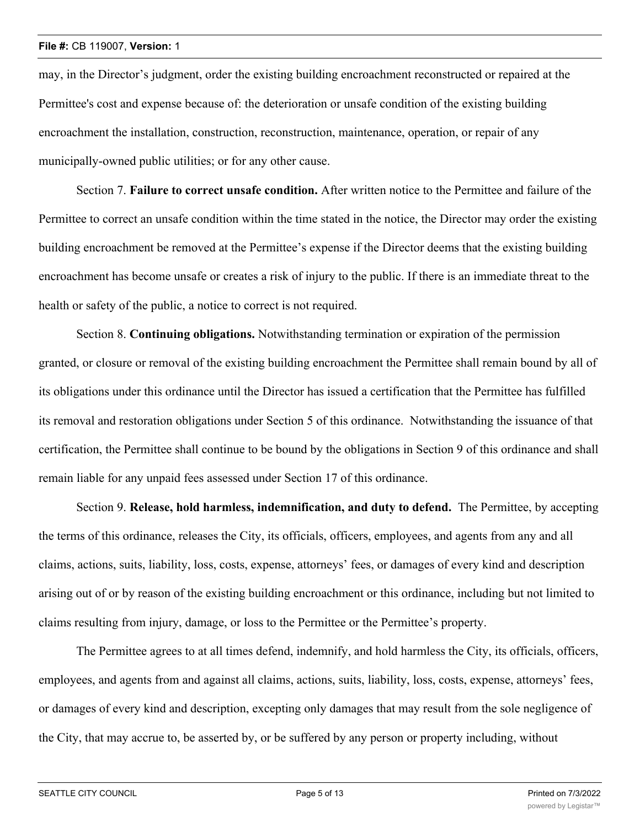may, in the Director's judgment, order the existing building encroachment reconstructed or repaired at the Permittee's cost and expense because of: the deterioration or unsafe condition of the existing building encroachment the installation, construction, reconstruction, maintenance, operation, or repair of any municipally-owned public utilities; or for any other cause.

Section 7. **Failure to correct unsafe condition.** After written notice to the Permittee and failure of the Permittee to correct an unsafe condition within the time stated in the notice, the Director may order the existing building encroachment be removed at the Permittee's expense if the Director deems that the existing building encroachment has become unsafe or creates a risk of injury to the public. If there is an immediate threat to the health or safety of the public, a notice to correct is not required.

Section 8. **Continuing obligations.** Notwithstanding termination or expiration of the permission granted, or closure or removal of the existing building encroachment the Permittee shall remain bound by all of its obligations under this ordinance until the Director has issued a certification that the Permittee has fulfilled its removal and restoration obligations under Section 5 of this ordinance. Notwithstanding the issuance of that certification, the Permittee shall continue to be bound by the obligations in Section 9 of this ordinance and shall remain liable for any unpaid fees assessed under Section 17 of this ordinance.

Section 9. **Release, hold harmless, indemnification, and duty to defend.** The Permittee, by accepting the terms of this ordinance, releases the City, its officials, officers, employees, and agents from any and all claims, actions, suits, liability, loss, costs, expense, attorneys' fees, or damages of every kind and description arising out of or by reason of the existing building encroachment or this ordinance, including but not limited to claims resulting from injury, damage, or loss to the Permittee or the Permittee's property.

The Permittee agrees to at all times defend, indemnify, and hold harmless the City, its officials, officers, employees, and agents from and against all claims, actions, suits, liability, loss, costs, expense, attorneys' fees, or damages of every kind and description, excepting only damages that may result from the sole negligence of the City, that may accrue to, be asserted by, or be suffered by any person or property including, without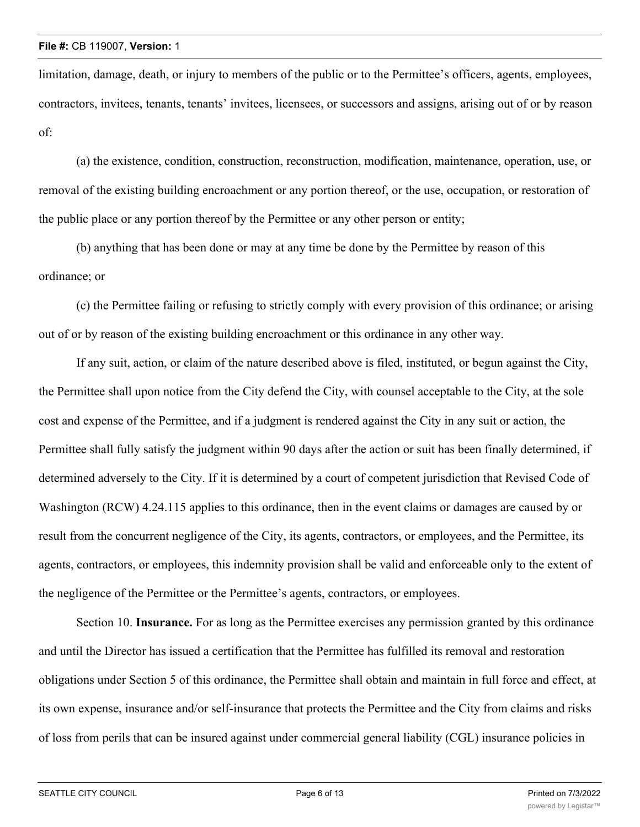limitation, damage, death, or injury to members of the public or to the Permittee's officers, agents, employees, contractors, invitees, tenants, tenants' invitees, licensees, or successors and assigns, arising out of or by reason of:

(a) the existence, condition, construction, reconstruction, modification, maintenance, operation, use, or removal of the existing building encroachment or any portion thereof, or the use, occupation, or restoration of the public place or any portion thereof by the Permittee or any other person or entity;

(b) anything that has been done or may at any time be done by the Permittee by reason of this ordinance; or

(c) the Permittee failing or refusing to strictly comply with every provision of this ordinance; or arising out of or by reason of the existing building encroachment or this ordinance in any other way.

If any suit, action, or claim of the nature described above is filed, instituted, or begun against the City, the Permittee shall upon notice from the City defend the City, with counsel acceptable to the City, at the sole cost and expense of the Permittee, and if a judgment is rendered against the City in any suit or action, the Permittee shall fully satisfy the judgment within 90 days after the action or suit has been finally determined, if determined adversely to the City. If it is determined by a court of competent jurisdiction that Revised Code of Washington (RCW) 4.24.115 applies to this ordinance, then in the event claims or damages are caused by or result from the concurrent negligence of the City, its agents, contractors, or employees, and the Permittee, its agents, contractors, or employees, this indemnity provision shall be valid and enforceable only to the extent of the negligence of the Permittee or the Permittee's agents, contractors, or employees.

Section 10. **Insurance.** For as long as the Permittee exercises any permission granted by this ordinance and until the Director has issued a certification that the Permittee has fulfilled its removal and restoration obligations under Section 5 of this ordinance, the Permittee shall obtain and maintain in full force and effect, at its own expense, insurance and/or self-insurance that protects the Permittee and the City from claims and risks of loss from perils that can be insured against under commercial general liability (CGL) insurance policies in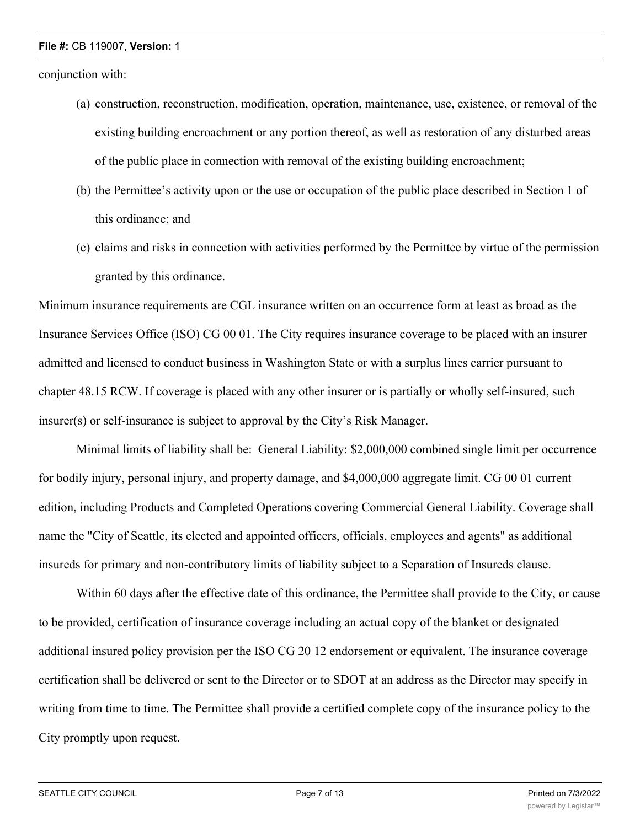conjunction with:

- (a) construction, reconstruction, modification, operation, maintenance, use, existence, or removal of the existing building encroachment or any portion thereof, as well as restoration of any disturbed areas of the public place in connection with removal of the existing building encroachment;
- (b) the Permittee's activity upon or the use or occupation of the public place described in Section 1 of this ordinance; and
- (c) claims and risks in connection with activities performed by the Permittee by virtue of the permission granted by this ordinance.

Minimum insurance requirements are CGL insurance written on an occurrence form at least as broad as the Insurance Services Office (ISO) CG 00 01. The City requires insurance coverage to be placed with an insurer admitted and licensed to conduct business in Washington State or with a surplus lines carrier pursuant to chapter 48.15 RCW. If coverage is placed with any other insurer or is partially or wholly self-insured, such insurer(s) or self-insurance is subject to approval by the City's Risk Manager.

Minimal limits of liability shall be: General Liability: \$2,000,000 combined single limit per occurrence for bodily injury, personal injury, and property damage, and \$4,000,000 aggregate limit. CG 00 01 current edition, including Products and Completed Operations covering Commercial General Liability. Coverage shall name the "City of Seattle, its elected and appointed officers, officials, employees and agents" as additional insureds for primary and non-contributory limits of liability subject to a Separation of Insureds clause.

Within 60 days after the effective date of this ordinance, the Permittee shall provide to the City, or cause to be provided, certification of insurance coverage including an actual copy of the blanket or designated additional insured policy provision per the ISO CG 20 12 endorsement or equivalent. The insurance coverage certification shall be delivered or sent to the Director or to SDOT at an address as the Director may specify in writing from time to time. The Permittee shall provide a certified complete copy of the insurance policy to the City promptly upon request.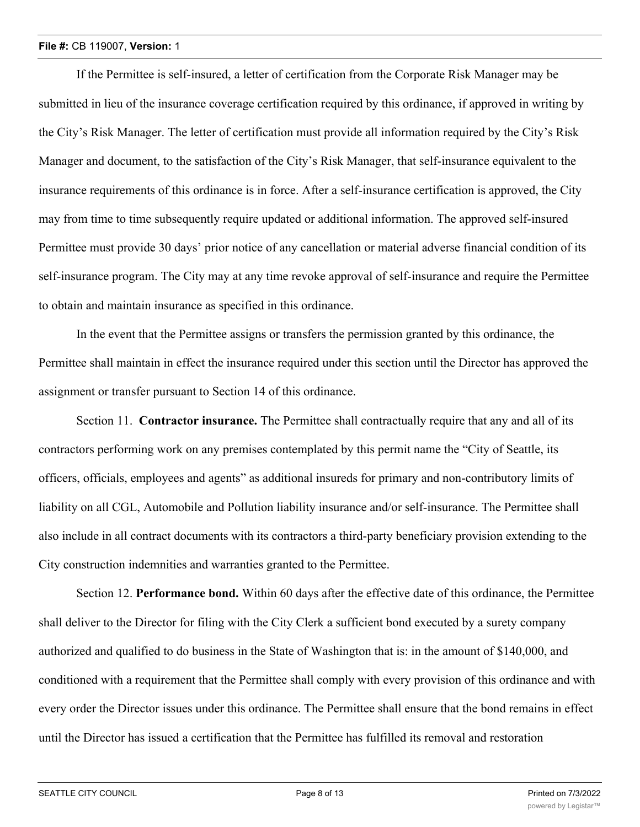If the Permittee is self-insured, a letter of certification from the Corporate Risk Manager may be submitted in lieu of the insurance coverage certification required by this ordinance, if approved in writing by the City's Risk Manager. The letter of certification must provide all information required by the City's Risk Manager and document, to the satisfaction of the City's Risk Manager, that self-insurance equivalent to the insurance requirements of this ordinance is in force. After a self-insurance certification is approved, the City may from time to time subsequently require updated or additional information. The approved self-insured Permittee must provide 30 days' prior notice of any cancellation or material adverse financial condition of its self-insurance program. The City may at any time revoke approval of self-insurance and require the Permittee to obtain and maintain insurance as specified in this ordinance.

In the event that the Permittee assigns or transfers the permission granted by this ordinance, the Permittee shall maintain in effect the insurance required under this section until the Director has approved the assignment or transfer pursuant to Section 14 of this ordinance.

Section 11. **Contractor insurance.** The Permittee shall contractually require that any and all of its contractors performing work on any premises contemplated by this permit name the "City of Seattle, its officers, officials, employees and agents" as additional insureds for primary and non-contributory limits of liability on all CGL, Automobile and Pollution liability insurance and/or self-insurance. The Permittee shall also include in all contract documents with its contractors a third-party beneficiary provision extending to the City construction indemnities and warranties granted to the Permittee.

Section 12. **Performance bond.** Within 60 days after the effective date of this ordinance, the Permittee shall deliver to the Director for filing with the City Clerk a sufficient bond executed by a surety company authorized and qualified to do business in the State of Washington that is: in the amount of \$140,000, and conditioned with a requirement that the Permittee shall comply with every provision of this ordinance and with every order the Director issues under this ordinance. The Permittee shall ensure that the bond remains in effect until the Director has issued a certification that the Permittee has fulfilled its removal and restoration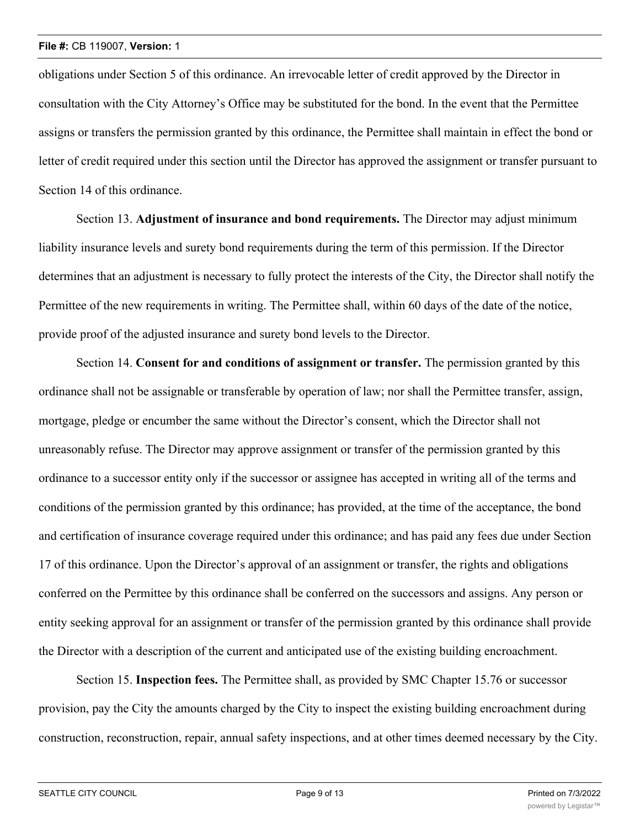obligations under Section 5 of this ordinance. An irrevocable letter of credit approved by the Director in consultation with the City Attorney's Office may be substituted for the bond. In the event that the Permittee assigns or transfers the permission granted by this ordinance, the Permittee shall maintain in effect the bond or letter of credit required under this section until the Director has approved the assignment or transfer pursuant to Section 14 of this ordinance.

Section 13. **Adjustment of insurance and bond requirements.** The Director may adjust minimum liability insurance levels and surety bond requirements during the term of this permission. If the Director determines that an adjustment is necessary to fully protect the interests of the City, the Director shall notify the Permittee of the new requirements in writing. The Permittee shall, within 60 days of the date of the notice, provide proof of the adjusted insurance and surety bond levels to the Director.

Section 14. **Consent for and conditions of assignment or transfer.** The permission granted by this ordinance shall not be assignable or transferable by operation of law; nor shall the Permittee transfer, assign, mortgage, pledge or encumber the same without the Director's consent, which the Director shall not unreasonably refuse. The Director may approve assignment or transfer of the permission granted by this ordinance to a successor entity only if the successor or assignee has accepted in writing all of the terms and conditions of the permission granted by this ordinance; has provided, at the time of the acceptance, the bond and certification of insurance coverage required under this ordinance; and has paid any fees due under Section 17 of this ordinance. Upon the Director's approval of an assignment or transfer, the rights and obligations conferred on the Permittee by this ordinance shall be conferred on the successors and assigns. Any person or entity seeking approval for an assignment or transfer of the permission granted by this ordinance shall provide the Director with a description of the current and anticipated use of the existing building encroachment.

Section 15. **Inspection fees.** The Permittee shall, as provided by SMC Chapter 15.76 or successor provision, pay the City the amounts charged by the City to inspect the existing building encroachment during construction, reconstruction, repair, annual safety inspections, and at other times deemed necessary by the City.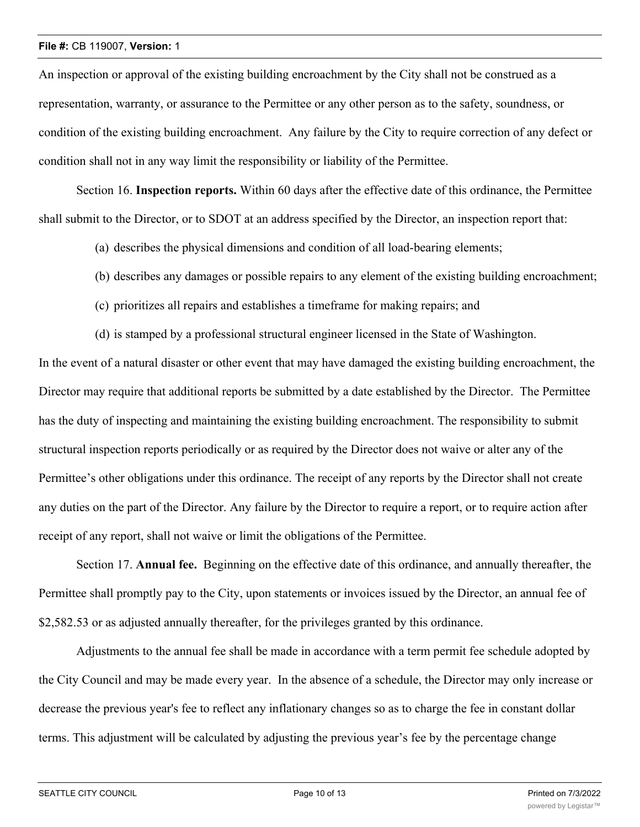An inspection or approval of the existing building encroachment by the City shall not be construed as a representation, warranty, or assurance to the Permittee or any other person as to the safety, soundness, or condition of the existing building encroachment. Any failure by the City to require correction of any defect or condition shall not in any way limit the responsibility or liability of the Permittee.

Section 16. **Inspection reports.** Within 60 days after the effective date of this ordinance, the Permittee shall submit to the Director, or to SDOT at an address specified by the Director, an inspection report that:

- (a) describes the physical dimensions and condition of all load-bearing elements;
- (b) describes any damages or possible repairs to any element of the existing building encroachment;
- (c) prioritizes all repairs and establishes a timeframe for making repairs; and
- (d) is stamped by a professional structural engineer licensed in the State of Washington.

In the event of a natural disaster or other event that may have damaged the existing building encroachment, the Director may require that additional reports be submitted by a date established by the Director. The Permittee has the duty of inspecting and maintaining the existing building encroachment. The responsibility to submit structural inspection reports periodically or as required by the Director does not waive or alter any of the Permittee's other obligations under this ordinance. The receipt of any reports by the Director shall not create any duties on the part of the Director. Any failure by the Director to require a report, or to require action after receipt of any report, shall not waive or limit the obligations of the Permittee.

Section 17. **Annual fee.** Beginning on the effective date of this ordinance, and annually thereafter, the Permittee shall promptly pay to the City, upon statements or invoices issued by the Director, an annual fee of \$2,582.53 or as adjusted annually thereafter, for the privileges granted by this ordinance.

Adjustments to the annual fee shall be made in accordance with a term permit fee schedule adopted by the City Council and may be made every year. In the absence of a schedule, the Director may only increase or decrease the previous year's fee to reflect any inflationary changes so as to charge the fee in constant dollar terms. This adjustment will be calculated by adjusting the previous year's fee by the percentage change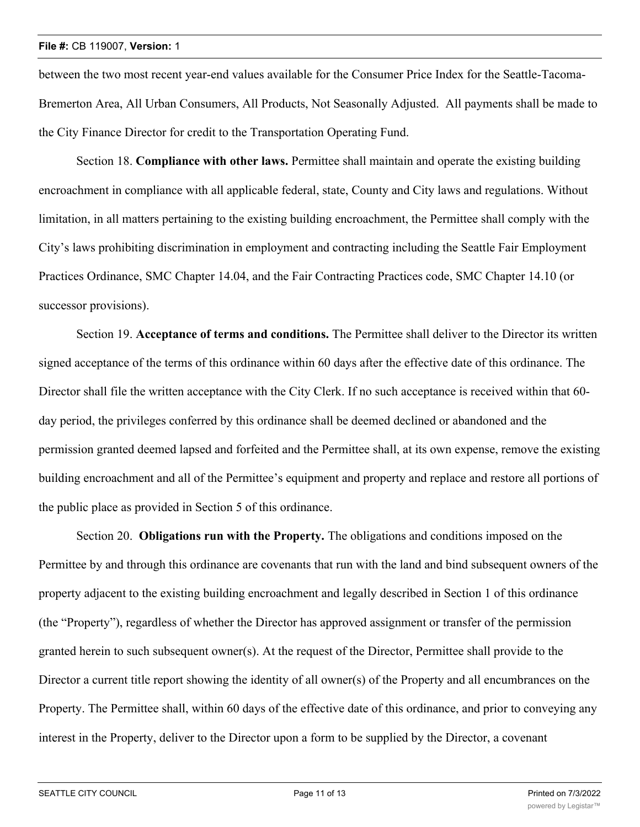between the two most recent year-end values available for the Consumer Price Index for the Seattle-Tacoma-Bremerton Area, All Urban Consumers, All Products, Not Seasonally Adjusted. All payments shall be made to the City Finance Director for credit to the Transportation Operating Fund.

Section 18. **Compliance with other laws.** Permittee shall maintain and operate the existing building encroachment in compliance with all applicable federal, state, County and City laws and regulations. Without limitation, in all matters pertaining to the existing building encroachment, the Permittee shall comply with the City's laws prohibiting discrimination in employment and contracting including the Seattle Fair Employment Practices Ordinance, SMC Chapter 14.04, and the Fair Contracting Practices code, SMC Chapter 14.10 (or successor provisions).

Section 19. **Acceptance of terms and conditions.** The Permittee shall deliver to the Director its written signed acceptance of the terms of this ordinance within 60 days after the effective date of this ordinance. The Director shall file the written acceptance with the City Clerk. If no such acceptance is received within that 60 day period, the privileges conferred by this ordinance shall be deemed declined or abandoned and the permission granted deemed lapsed and forfeited and the Permittee shall, at its own expense, remove the existing building encroachment and all of the Permittee's equipment and property and replace and restore all portions of the public place as provided in Section 5 of this ordinance.

Section 20. **Obligations run with the Property.** The obligations and conditions imposed on the Permittee by and through this ordinance are covenants that run with the land and bind subsequent owners of the property adjacent to the existing building encroachment and legally described in Section 1 of this ordinance (the "Property"), regardless of whether the Director has approved assignment or transfer of the permission granted herein to such subsequent owner(s). At the request of the Director, Permittee shall provide to the Director a current title report showing the identity of all owner(s) of the Property and all encumbrances on the Property. The Permittee shall, within 60 days of the effective date of this ordinance, and prior to conveying any interest in the Property, deliver to the Director upon a form to be supplied by the Director, a covenant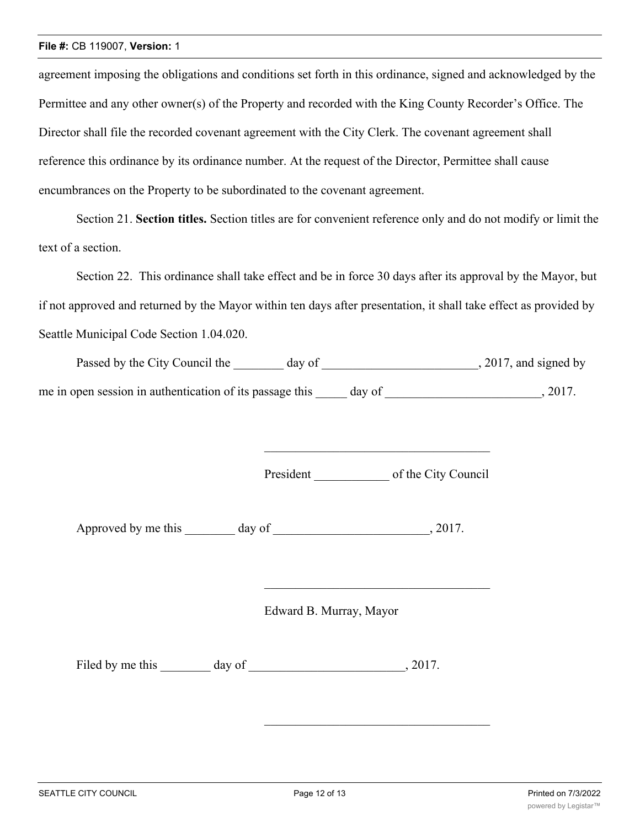agreement imposing the obligations and conditions set forth in this ordinance, signed and acknowledged by the Permittee and any other owner(s) of the Property and recorded with the King County Recorder's Office. The Director shall file the recorded covenant agreement with the City Clerk. The covenant agreement shall reference this ordinance by its ordinance number. At the request of the Director, Permittee shall cause encumbrances on the Property to be subordinated to the covenant agreement.

Section 21. **Section titles.** Section titles are for convenient reference only and do not modify or limit the text of a section.

Section 22. This ordinance shall take effect and be in force 30 days after its approval by the Mayor, but if not approved and returned by the Mayor within ten days after presentation, it shall take effect as provided by Seattle Municipal Code Section 1.04.020.

| Passed by the City Council the                           | day of |        | , 2017, and signed by |
|----------------------------------------------------------|--------|--------|-----------------------|
| me in open session in authentication of its passage this |        | day of | 2017.                 |

President of the City Council

Approved by me this day of  $\qquad \qquad$ , 2017.

Edward B. Murray, Mayor

Filed by me this day of  $\frac{1}{2017}$ .